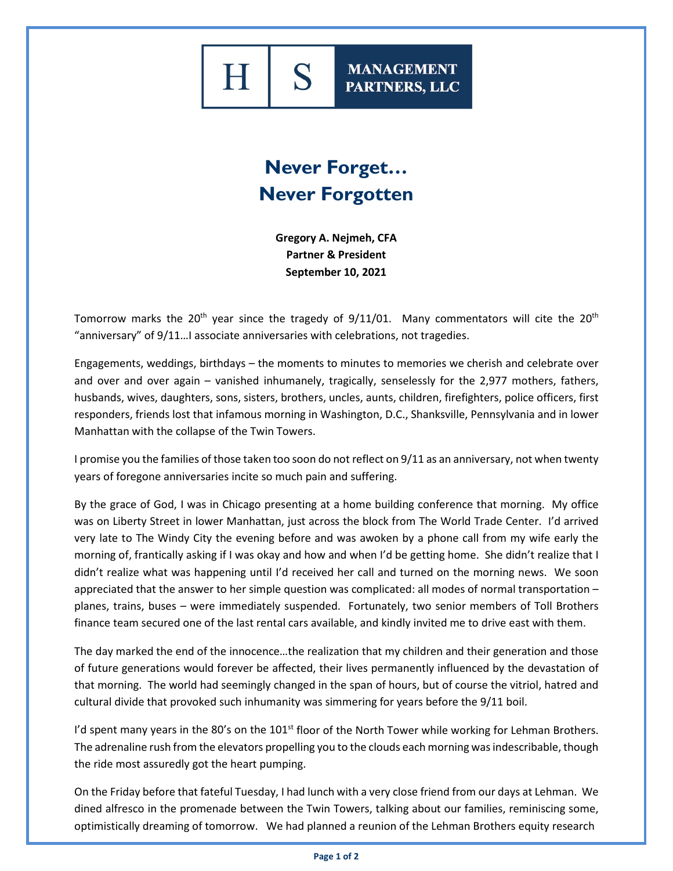**MANAGEMENT** PARTNERS, LLC

## **Never Forget… Never Forgotten**

**Gregory A. Nejmeh, CFA Partner & President September 10, 2021**

Tomorrow marks the 20<sup>th</sup> year since the tragedy of  $9/11/01$ . Many commentators will cite the 20<sup>th</sup> "anniversary" of 9/11…I associate anniversaries with celebrations, not tragedies.

Engagements, weddings, birthdays – the moments to minutes to memories we cherish and celebrate over and over and over again – vanished inhumanely, tragically, senselessly for the 2,977 mothers, fathers, husbands, wives, daughters, sons, sisters, brothers, uncles, aunts, children, firefighters, police officers, first responders, friends lost that infamous morning in Washington, D.C., Shanksville, Pennsylvania and in lower Manhattan with the collapse of the Twin Towers.

I promise you the families of those taken too soon do not reflect on 9/11 as an anniversary, not when twenty years of foregone anniversaries incite so much pain and suffering.

By the grace of God, I was in Chicago presenting at a home building conference that morning. My office was on Liberty Street in lower Manhattan, just across the block from The World Trade Center. I'd arrived very late to The Windy City the evening before and was awoken by a phone call from my wife early the morning of, frantically asking if I was okay and how and when I'd be getting home. She didn't realize that I didn't realize what was happening until I'd received her call and turned on the morning news. We soon appreciated that the answer to her simple question was complicated: all modes of normal transportation – planes, trains, buses – were immediately suspended. Fortunately, two senior members of Toll Brothers finance team secured one of the last rental cars available, and kindly invited me to drive east with them.

The day marked the end of the innocence…the realization that my children and their generation and those of future generations would forever be affected, their lives permanently influenced by the devastation of that morning. The world had seemingly changed in the span of hours, but of course the vitriol, hatred and cultural divide that provoked such inhumanity was simmering for years before the 9/11 boil.

I'd spent many years in the 80's on the  $101<sup>st</sup>$  floor of the North Tower while working for Lehman Brothers. The adrenaline rush from the elevators propelling you to the clouds each morning was indescribable, though the ride most assuredly got the heart pumping.

On the Friday before that fateful Tuesday, I had lunch with a very close friend from our days at Lehman. We dined alfresco in the promenade between the Twin Towers, talking about our families, reminiscing some, optimistically dreaming of tomorrow. We had planned a reunion of the Lehman Brothers equity research